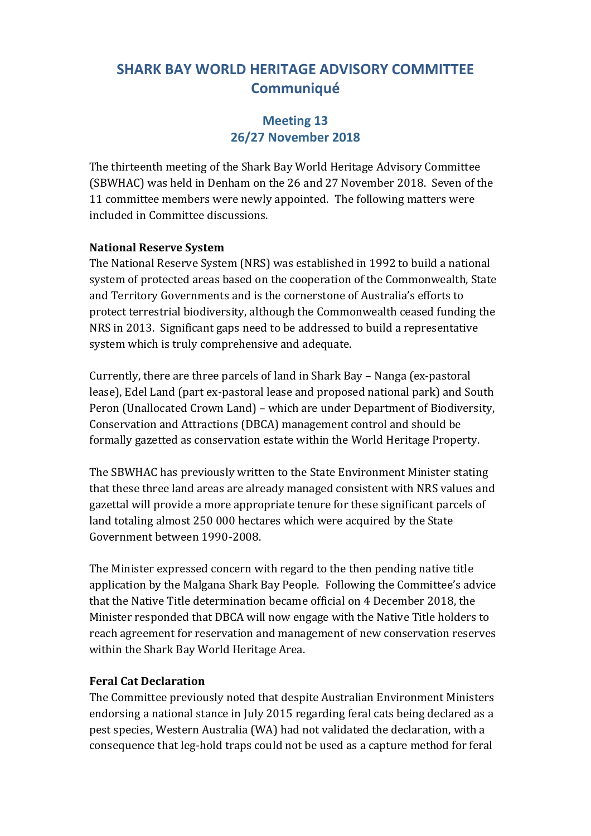### **Meeting 13 26/27 November 2018**

The thirteenth meeting of the Shark Bay World Heritage Advisory Committee (SBWHAC) was held in Denham on the 26 and 27 November 2018. Seven of the 11 committee members were newly appointed. The following matters were included in Committee discussions.

#### **National Reserve System**

The National Reserve System (NRS) was established in 1992 to build a national system of protected areas based on the cooperation of the Commonwealth, State and Territory Governments and is the cornerstone of Australia's efforts to protect terrestrial biodiversity, although the Commonwealth ceased funding the NRS in 2013. Significant gaps need to be addressed to build a representative system which is truly comprehensive and adequate.

Currently, there are three parcels of land in Shark Bay – Nanga (ex-pastoral lease), Edel Land (part ex-pastoral lease and proposed national park) and South Peron (Unallocated Crown Land) – which are under Department of Biodiversity, Conservation and Attractions (DBCA) management control and should be formally gazetted as conservation estate within the World Heritage Property.

The SBWHAC has previously written to the State Environment Minister stating that these three land areas are already managed consistent with NRS values and gazettal will provide a more appropriate tenure for these significant parcels of land totaling almost 250 000 hectares which were acquired by the State Government between 1990-2008.

The Minister expressed concern with regard to the then pending native title application by the Malgana Shark Bay People. Following the Committee's advice that the Native Title determination became official on 4 December 2018, the Minister responded that DBCA will now engage with the Native Title holders to reach agreement for reservation and management of new conservation reserves within the Shark Bay World Heritage Area.

#### **Feral Cat Declaration**

The Committee previously noted that despite Australian Environment Ministers endorsing a national stance in July 2015 regarding feral cats being declared as a pest species, Western Australia (WA) had not validated the declaration, with a consequence that leg-hold traps could not be used as a capture method for feral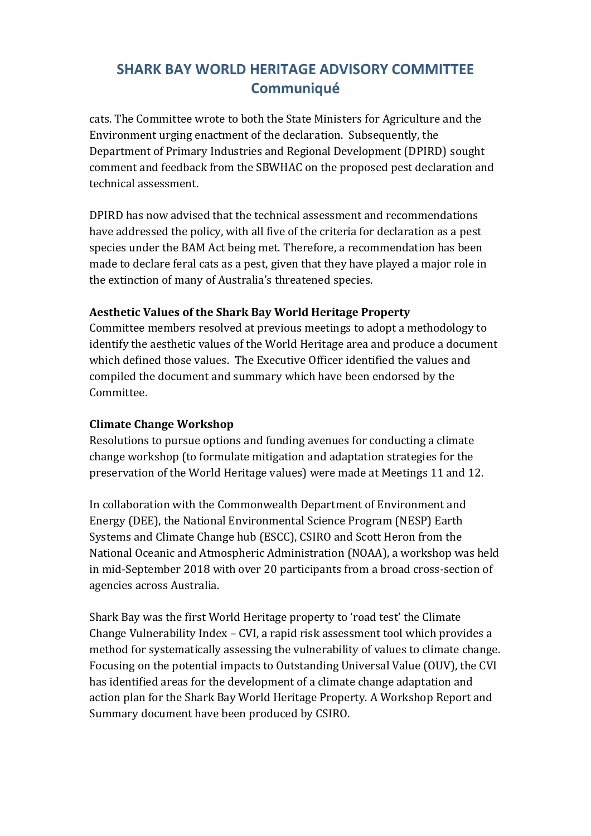cats. The Committee wrote to both the State Ministers for Agriculture and the Environment urging enactment of the declaration. Subsequently, the Department of Primary Industries and Regional Development (DPIRD) sought comment and feedback from the SBWHAC on the proposed pest declaration and technical assessment.

DPIRD has now advised that the technical assessment and recommendations have addressed the policy, with all five of the criteria for declaration as a pest species under the BAM Act being met. Therefore, a recommendation has been made to declare feral cats as a pest, given that they have played a major role in the extinction of many of Australia's threatened species.

#### **Aesthetic Values of the Shark Bay World Heritage Property**

Committee members resolved at previous meetings to adopt a methodology to identify the aesthetic values of the World Heritage area and produce a document which defined those values. The Executive Officer identified the values and compiled the document and summary which have been endorsed by the Committee.

### **Climate Change Workshop**

Resolutions to pursue options and funding avenues for conducting a climate change workshop (to formulate mitigation and adaptation strategies for the preservation of the World Heritage values) were made at Meetings 11 and 12.

In collaboration with the Commonwealth Department of Environment and Energy (DEE), the National Environmental Science Program (NESP) Earth Systems and Climate Change hub (ESCC), CSIRO and Scott Heron from the National Oceanic and Atmospheric Administration (NOAA), a workshop was held in mid-September 2018 with over 20 participants from a broad cross-section of agencies across Australia.

Shark Bay was the first World Heritage property to 'road test' the Climate Change Vulnerability Index – CVI, a rapid risk assessment tool which provides a method for systematically assessing the vulnerability of values to climate change. Focusing on the potential impacts to Outstanding Universal Value (OUV), the CVI has identified areas for the development of a climate change adaptation and action plan for the Shark Bay World Heritage Property. A Workshop Report and Summary document have been produced by CSIRO.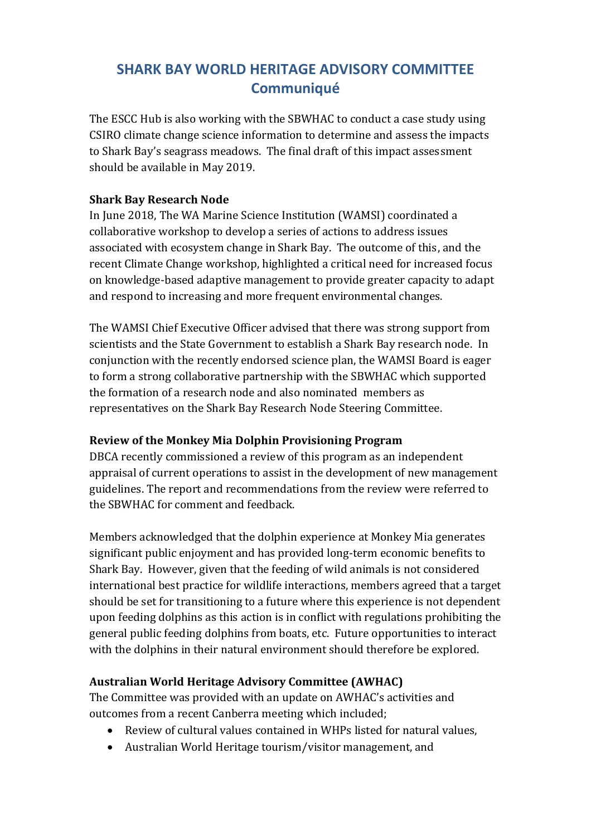The ESCC Hub is also working with the SBWHAC to conduct a case study using CSIRO climate change science information to determine and assess the impacts to Shark Bay's seagrass meadows. The final draft of this impact assessment should be available in May 2019.

#### **Shark Bay Research Node**

In June 2018, The WA Marine Science Institution (WAMSI) coordinated a collaborative workshop to develop a series of actions to address issues associated with ecosystem change in Shark Bay. The outcome of this, and the recent Climate Change workshop, highlighted a critical need for increased focus on knowledge-based adaptive management to provide greater capacity to adapt and respond to increasing and more frequent environmental changes.

The WAMSI Chief Executive Officer advised that there was strong support from scientists and the State Government to establish a Shark Bay research node. In conjunction with the recently endorsed science plan, the WAMSI Board is eager to form a strong collaborative partnership with the SBWHAC which supported the formation of a research node and also nominated members as representatives on the Shark Bay Research Node Steering Committee.

#### **Review of the Monkey Mia Dolphin Provisioning Program**

DBCA recently commissioned a review of this program as an independent appraisal of current operations to assist in the development of new management guidelines. The report and recommendations from the review were referred to the SBWHAC for comment and feedback.

Members acknowledged that the dolphin experience at Monkey Mia generates significant public enjoyment and has provided long-term economic benefits to Shark Bay. However, given that the feeding of wild animals is not considered international best practice for wildlife interactions, members agreed that a target should be set for transitioning to a future where this experience is not dependent upon feeding dolphins as this action is in conflict with regulations prohibiting the general public feeding dolphins from boats, etc. Future opportunities to interact with the dolphins in their natural environment should therefore be explored.

#### **Australian World Heritage Advisory Committee (AWHAC)**

The Committee was provided with an update on AWHAC's activities and outcomes from a recent Canberra meeting which included;

- Review of cultural values contained in WHPs listed for natural values,
- Australian World Heritage tourism/visitor management, and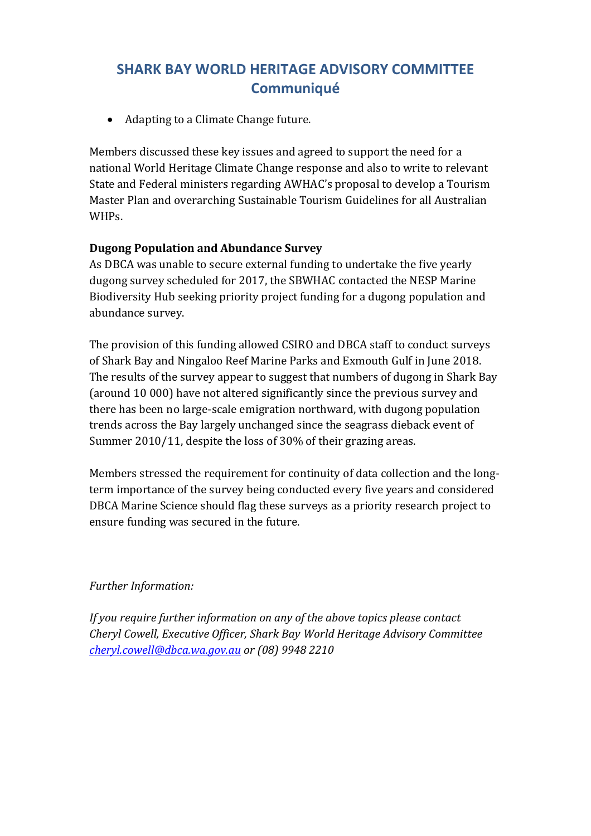• Adapting to a Climate Change future.

Members discussed these key issues and agreed to support the need for a national World Heritage Climate Change response and also to write to relevant State and Federal ministers regarding AWHAC's proposal to develop a Tourism Master Plan and overarching Sustainable Tourism Guidelines for all Australian WHPs.

#### **Dugong Population and Abundance Survey**

As DBCA was unable to secure external funding to undertake the five yearly dugong survey scheduled for 2017, the SBWHAC contacted the NESP Marine Biodiversity Hub seeking priority project funding for a dugong population and abundance survey.

The provision of this funding allowed CSIRO and DBCA staff to conduct surveys of Shark Bay and Ningaloo Reef Marine Parks and Exmouth Gulf in June 2018. The results of the survey appear to suggest that numbers of dugong in Shark Bay (around 10 000) have not altered significantly since the previous survey and there has been no large-scale emigration northward, with dugong population trends across the Bay largely unchanged since the seagrass dieback event of Summer 2010/11, despite the loss of 30% of their grazing areas.

Members stressed the requirement for continuity of data collection and the longterm importance of the survey being conducted every five years and considered DBCA Marine Science should flag these surveys as a priority research project to ensure funding was secured in the future.

#### *Further Information:*

*If you require further information on any of the above topics please contact Cheryl Cowell, Executive Officer, Shark Bay World Heritage Advisory Committee [cheryl.cowell@dbca.wa.gov.au](mailto:cheryl.cowell@dbca.wa.gov.au) or (08) 9948 2210*